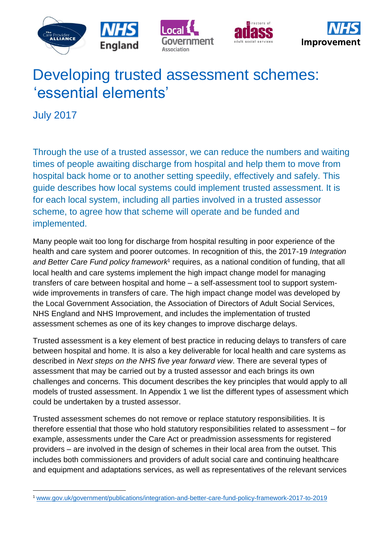









# Developing trusted assessment schemes: 'essential elements'

July 2017

Through the use of a trusted assessor, we can reduce the numbers and waiting times of people awaiting discharge from hospital and help them to move from hospital back home or to another setting speedily, effectively and safely. This guide describes how local systems could implement trusted assessment. It is for each local system, including all parties involved in a trusted assessor scheme, to agree how that scheme will operate and be funded and implemented.

Many people wait too long for discharge from hospital resulting in poor experience of the health and care system and poorer outcomes. In recognition of this, the 2017-19 *Integration*  and Better Care Fund policy framework<sup>1</sup> requires, as a national condition of funding, that all local health and care systems implement the high impact change model for managing transfers of care between hospital and home – a self-assessment tool to support systemwide improvements in transfers of care. The high impact change model was developed by the Local Government Association, the Association of Directors of Adult Social Services, NHS England and NHS Improvement, and includes the implementation of trusted assessment schemes as one of its key changes to improve discharge delays.

Trusted assessment is a key element of best practice in reducing delays to transfers of care between hospital and home. It is also a key deliverable for local health and care systems as described in *Next steps on the NHS five year forward view*. There are several types of assessment that may be carried out by a trusted assessor and each brings its own challenges and concerns. This document describes the key principles that would apply to all models of trusted assessment. In Appendix 1 we list the different types of assessment which could be undertaken by a trusted assessor.

Trusted assessment schemes do not remove or replace statutory responsibilities. It is therefore essential that those who hold statutory responsibilities related to assessment – for example, assessments under the Care Act or preadmission assessments for registered providers – are involved in the design of schemes in their local area from the outset. This includes both commissioners and providers of adult social care and continuing healthcare and equipment and adaptations services, as well as representatives of the relevant services

 $\overline{a}$ <sup>1</sup> [www.gov.uk/government/publications/integration-and-better-care-fund-policy-framework-2017-to-2019](https://www.gov.uk/government/publications/integration-and-better-care-fund-policy-framework-2017-to-2019)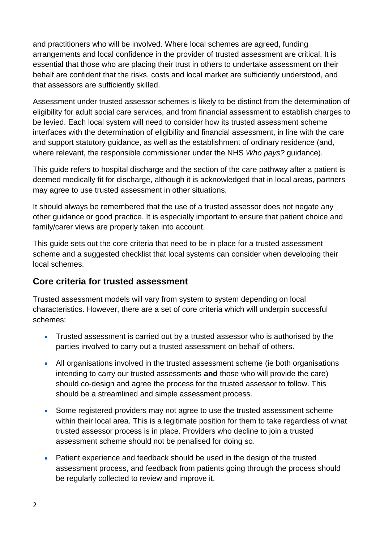and practitioners who will be involved. Where local schemes are agreed, funding arrangements and local confidence in the provider of trusted assessment are critical. It is essential that those who are placing their trust in others to undertake assessment on their behalf are confident that the risks, costs and local market are sufficiently understood, and that assessors are sufficiently skilled.

Assessment under trusted assessor schemes is likely to be distinct from the determination of eligibility for adult social care services, and from financial assessment to establish charges to be levied. Each local system will need to consider how its trusted assessment scheme interfaces with the determination of eligibility and financial assessment, in line with the care and support statutory guidance, as well as the establishment of ordinary residence (and, where relevant, the responsible commissioner under the NHS *Who pays?* guidance).

This guide refers to hospital discharge and the section of the care pathway after a patient is deemed medically fit for discharge, although it is acknowledged that in local areas, partners may agree to use trusted assessment in other situations.

It should always be remembered that the use of a trusted assessor does not negate any other guidance or good practice. It is especially important to ensure that patient choice and family/carer views are properly taken into account.

This guide sets out the core criteria that need to be in place for a trusted assessment scheme and a suggested checklist that local systems can consider when developing their local schemes.

## **Core criteria for trusted assessment**

Trusted assessment models will vary from system to system depending on local characteristics. However, there are a set of core criteria which will underpin successful schemes:

- Trusted assessment is carried out by a trusted assessor who is authorised by the parties involved to carry out a trusted assessment on behalf of others.
- All organisations involved in the trusted assessment scheme (ie both organisations intending to carry our trusted assessments **and** those who will provide the care) should co-design and agree the process for the trusted assessor to follow. This should be a streamlined and simple assessment process.
- Some registered providers may not agree to use the trusted assessment scheme within their local area. This is a legitimate position for them to take regardless of what trusted assessor process is in place. Providers who decline to join a trusted assessment scheme should not be penalised for doing so.
- Patient experience and feedback should be used in the design of the trusted assessment process, and feedback from patients going through the process should be regularly collected to review and improve it.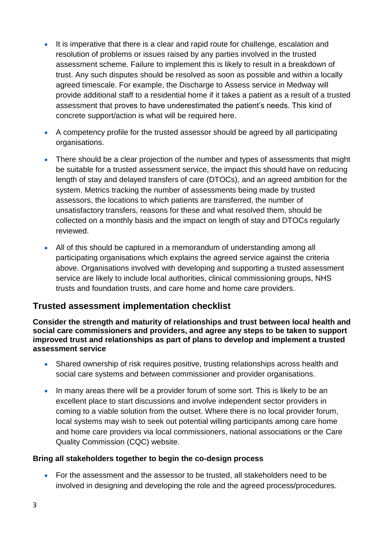- It is imperative that there is a clear and rapid route for challenge, escalation and resolution of problems or issues raised by any parties involved in the trusted assessment scheme. Failure to implement this is likely to result in a breakdown of trust. Any such disputes should be resolved as soon as possible and within a locally agreed timescale. For example, the Discharge to Assess service in Medway will provide additional staff to a residential home if it takes a patient as a result of a trusted assessment that proves to have underestimated the patient's needs. This kind of concrete support/action is what will be required here.
- A competency profile for the trusted assessor should be agreed by all participating organisations.
- There should be a clear projection of the number and types of assessments that might be suitable for a trusted assessment service, the impact this should have on reducing length of stay and delayed transfers of care (DTOCs), and an agreed ambition for the system. Metrics tracking the number of assessments being made by trusted assessors, the locations to which patients are transferred, the number of unsatisfactory transfers, reasons for these and what resolved them, should be collected on a monthly basis and the impact on length of stay and DTOCs regularly reviewed.
- All of this should be captured in a memorandum of understanding among all participating organisations which explains the agreed service against the criteria above. Organisations involved with developing and supporting a trusted assessment service are likely to include local authorities, clinical commissioning groups, NHS trusts and foundation trusts, and care home and home care providers.

## **Trusted assessment implementation checklist**

**Consider the strength and maturity of relationships and trust between local health and social care commissioners and providers, and agree any steps to be taken to support improved trust and relationships as part of plans to develop and implement a trusted assessment service**

- Shared ownership of risk requires positive, trusting relationships across health and social care systems and between commissioner and provider organisations.
- In many areas there will be a provider forum of some sort. This is likely to be an excellent place to start discussions and involve independent sector providers in coming to a viable solution from the outset. Where there is no local provider forum, local systems may wish to seek out potential willing participants among care home and home care providers via local commissioners, national associations or the Care Quality Commission (CQC) website.

#### **Bring all stakeholders together to begin the co-design process**

 For the assessment and the assessor to be trusted, all stakeholders need to be involved in designing and developing the role and the agreed process/procedures.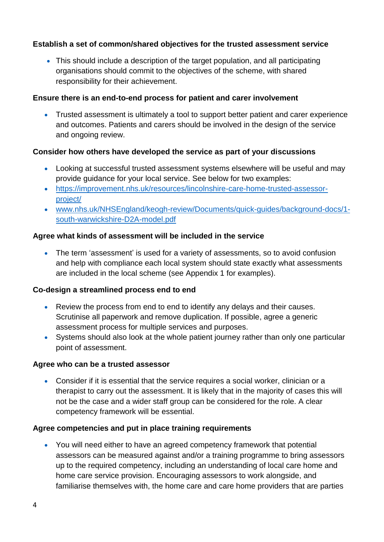#### **Establish a set of common/shared objectives for the trusted assessment service**

 This should include a description of the target population, and all participating organisations should commit to the objectives of the scheme, with shared responsibility for their achievement.

#### **Ensure there is an end-to-end process for patient and carer involvement**

• Trusted assessment is ultimately a tool to support better patient and carer experience and outcomes. Patients and carers should be involved in the design of the service and ongoing review.

#### **Consider how others have developed the service as part of your discussions**

- Looking at successful trusted assessment systems elsewhere will be useful and may provide guidance for your local service. See below for two examples:
- [https://improvement.nhs.uk/resources/lincolnshire-care-home-trusted-assessor](https://improvement.nhs.uk/resources/lincolnshire-care-home-trusted-assessor-project/)[project/](https://improvement.nhs.uk/resources/lincolnshire-care-home-trusted-assessor-project/)
- [www.nhs.uk/NHSEngland/keogh-review/Documents/quick-guides/background-docs/1](http://www.nhs.uk/NHSEngland/keogh-review/Documents/quick-guides/background-docs/1-south-warwickshire-D2A-model.pdf) [south-warwickshire-D2A-model.pdf](http://www.nhs.uk/NHSEngland/keogh-review/Documents/quick-guides/background-docs/1-south-warwickshire-D2A-model.pdf)

#### **Agree what kinds of assessment will be included in the service**

 The term 'assessment' is used for a variety of assessments, so to avoid confusion and help with compliance each local system should state exactly what assessments are included in the local scheme (see Appendix 1 for examples).

#### **Co-design a streamlined process end to end**

- Review the process from end to end to identify any delays and their causes. Scrutinise all paperwork and remove duplication. If possible, agree a generic assessment process for multiple services and purposes.
- Systems should also look at the whole patient journey rather than only one particular point of assessment.

#### **Agree who can be a trusted assessor**

 Consider if it is essential that the service requires a social worker, clinician or a therapist to carry out the assessment. It is likely that in the majority of cases this will not be the case and a wider staff group can be considered for the role. A clear competency framework will be essential.

#### **Agree competencies and put in place training requirements**

 You will need either to have an agreed competency framework that potential assessors can be measured against and/or a training programme to bring assessors up to the required competency, including an understanding of local care home and home care service provision. Encouraging assessors to work alongside, and familiarise themselves with, the home care and care home providers that are parties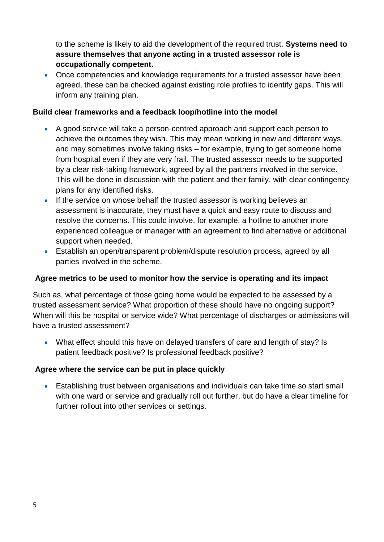to the scheme is likely to aid the development of the required trust. **Systems need to assure themselves that anyone acting in a trusted assessor role is occupationally competent.**

 Once competencies and knowledge requirements for a trusted assessor have been agreed, these can be checked against existing role profiles to identify gaps. This will inform any training plan.

#### **Build clear frameworks and a feedback loop/hotline into the model**

- A good service will take a person-centred approach and support each person to achieve the outcomes they wish. This may mean working in new and different ways, and may sometimes involve taking risks – for example, trying to get someone home from hospital even if they are very frail. The trusted assessor needs to be supported by a clear risk-taking framework, agreed by all the partners involved in the service. This will be done in discussion with the patient and their family, with clear contingency plans for any identified risks.
- If the service on whose behalf the trusted assessor is working believes an assessment is inaccurate, they must have a quick and easy route to discuss and resolve the concerns. This could involve, for example, a hotline to another more experienced colleague or manager with an agreement to find alternative or additional support when needed.
- Establish an open/transparent problem/dispute resolution process, agreed by all parties involved in the scheme.

#### **Agree metrics to be used to monitor how the service is operating and its impact**

Such as, what percentage of those going home would be expected to be assessed by a trusted assessment service? What proportion of these should have no ongoing support? When will this be hospital or service wide? What percentage of discharges or admissions will have a trusted assessment?

 What effect should this have on delayed transfers of care and length of stay? Is patient feedback positive? Is professional feedback positive?

#### **Agree where the service can be put in place quickly**

 Establishing trust between organisations and individuals can take time so start small with one ward or service and gradually roll out further, but do have a clear timeline for further rollout into other services or settings.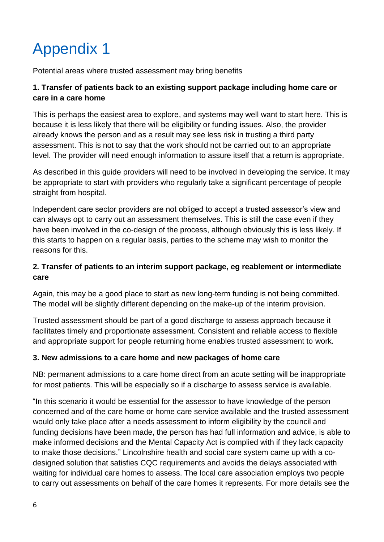# Appendix 1

Potential areas where trusted assessment may bring benefits

#### **1. Transfer of patients back to an existing support package including home care or care in a care home**

This is perhaps the easiest area to explore, and systems may well want to start here. This is because it is less likely that there will be eligibility or funding issues. Also, the provider already knows the person and as a result may see less risk in trusting a third party assessment. This is not to say that the work should not be carried out to an appropriate level. The provider will need enough information to assure itself that a return is appropriate.

As described in this guide providers will need to be involved in developing the service. It may be appropriate to start with providers who regularly take a significant percentage of people straight from hospital.

Independent care sector providers are not obliged to accept a trusted assessor's view and can always opt to carry out an assessment themselves. This is still the case even if they have been involved in the co-design of the process, although obviously this is less likely. If this starts to happen on a regular basis, parties to the scheme may wish to monitor the reasons for this.

#### **2***.* **Transfer of patients to an interim support package, eg reablement or intermediate care**

Again, this may be a good place to start as new long-term funding is not being committed. The model will be slightly different depending on the make-up of the interim provision.

Trusted assessment should be part of a good discharge to assess approach because it facilitates timely and proportionate assessment. Consistent and reliable access to flexible and appropriate support for people returning home enables trusted assessment to work.

#### **3. New admissions to a care home and new packages of home care**

NB: permanent admissions to a care home direct from an acute setting will be inappropriate for most patients. This will be especially so if a discharge to assess service is available.

"In this scenario it would be essential for the assessor to have knowledge of the person concerned and of the care home or home care service available and the trusted assessment would only take place after a needs assessment to inform eligibility by the council and funding decisions have been made, the person has had full information and advice, is able to make informed decisions and the Mental Capacity Act is complied with if they lack capacity to make those decisions." Lincolnshire health and social care system came up with a codesigned solution that satisfies CQC requirements and avoids the delays associated with waiting for individual care homes to assess. The local care association employs two people to carry out assessments on behalf of the care homes it represents. For more details see the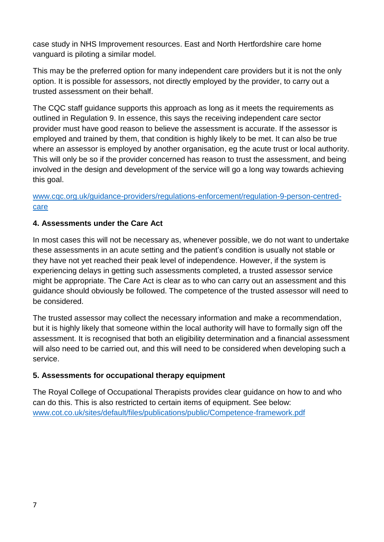case study in [NHS Improvement resources.](https://improvement.nhs.uk/resources/lincolnshire-care-home-trusted-assessor-project/) East and North Hertfordshire care home vanguard is piloting a similar model.

This may be the preferred option for many independent care providers but it is not the only option. It is possible for assessors, not directly employed by the provider, to carry out a trusted assessment on their behalf.

The CQC staff guidance supports this approach as long as it meets the requirements as outlined in Regulation 9. In essence, this says the receiving independent care sector provider must have good reason to believe the assessment is accurate. If the assessor is employed and trained by them, that condition is highly likely to be met. It can also be true where an assessor is employed by another organisation, eg the acute trust or local authority. This will only be so if the provider concerned has reason to trust the assessment, and being involved in the design and development of the service will go a long way towards achieving this goal.

#### [www.cqc.org.uk/guidance-providers/regulations-enforcement/regulation-9-person-centred](https://www.cqc.org.uk/guidance-providers/regulations-enforcement/regulation-9-person-centred-care)[care](https://www.cqc.org.uk/guidance-providers/regulations-enforcement/regulation-9-person-centred-care)

#### **4. Assessments under the Care Act**

In most cases this will not be necessary as, whenever possible, we do not want to undertake these assessments in an acute setting and the patient's condition is usually not stable or they have not yet reached their peak level of independence. However, if the system is experiencing delays in getting such assessments completed, a trusted assessor service might be appropriate. The Care Act is clear as to who can carry out an assessment and this guidance should obviously be followed. The competence of the trusted assessor will need to be considered.

The trusted assessor may collect the necessary information and make a recommendation, but it is highly likely that someone within the local authority will have to formally sign off the assessment. It is recognised that both an eligibility determination and a financial assessment will also need to be carried out, and this will need to be considered when developing such a service.

#### **5. Assessments for occupational therapy equipment**

The Royal College of Occupational Therapists provides clear guidance on how to and who can do this. This is also restricted to certain items of equipment. See below: [www.cot.co.uk/sites/default/files/publications/public/Competence-framework.pdf](http://www.cot.co.uk/sites/default/files/publications/public/Competence-framework.pdf)